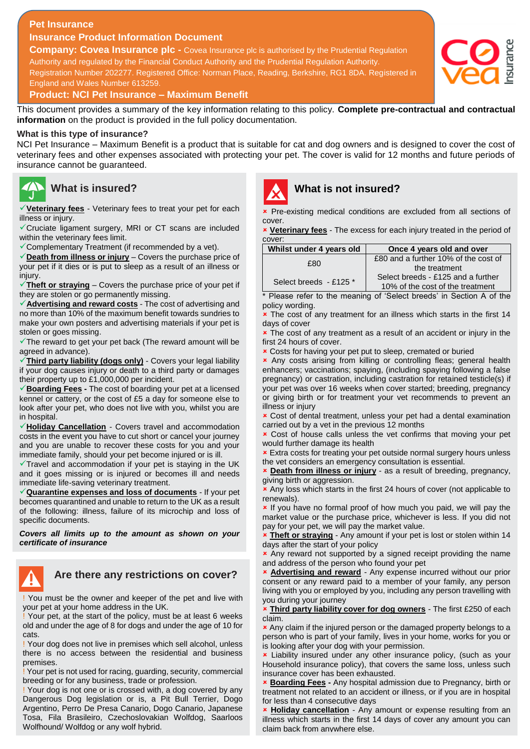### **Pet Insurance**

**Insurance Product Information Document**

**Company: Covea Insurance plc -** Covea Insurance plc is authorised by the Prudential Regulation Authority and regulated by the Financial Conduct Authority and the Prudential Regulation Authority. Registration Number 202277. Registered Office: Norman Place, Reading, Berkshire, RG1 8DA. Registered in England and Wales Number 613259.



#### **Product: NCI Pet Insurance – Maximum Benefit**

This document provides a summary of the key information relating to this policy. **Complete pre-contractual and contractual information** on the product is provided in the full policy documentation.

#### **What is this type of insurance?**

NCI Pet Insurance – Maximum Benefit is a product that is suitable for cat and dog owners and is designed to cover the cost of veterinary fees and other expenses associated with protecting your pet. The cover is valid for 12 months and future periods of insurance cannot be guaranteed.

# **What is insured?**

**Veterinary fees** - Veterinary fees to treat your pet for each illness or injury.

Cruciate ligament surgery, MRI or CT scans are included within the veterinary fees limit.

Complementary Treatment (if recommended by a vet).

**Death from illness or injury** – Covers the purchase price of your pet if it dies or is put to sleep as a result of an illness or injury.

**Theft or straying** – Covers the purchase price of your pet if they are stolen or go permanently missing.

**Advertising and reward costs** - The cost of advertising and no more than 10% of the maximum benefit towards sundries to make your own posters and advertising materials if your pet is stolen or goes missing.

 $\checkmark$  The reward to get your pet back (The reward amount will be agreed in advance).

**Third party liability (dogs only)** - Covers your legal liability if your dog causes injury or death to a third party or damages their property up to £1,000,000 per incident.

**Boarding Fees -** The cost of boarding your pet at a licensed kennel or cattery, or the cost of £5 a day for someone else to look after your pet, who does not live with you, whilst you are in hospital.

**Holiday Cancellation** - Covers travel and accommodation costs in the event you have to cut short or cancel your journey and you are unable to recover these costs for you and your immediate family, should your pet become injured or is ill.

 $\checkmark$  Travel and accommodation if your pet is staying in the UK and it goes missing or is injured or becomes ill and needs immediate life-saving veterinary treatment.

**Quarantine expenses and loss of documents** - If your pet becomes quarantined and unable to return to the UK as a result of the following: illness, failure of its microchip and loss of specific documents.

*Covers all limits up to the amount as shown on your certificate of insurance*



# **Are there any restrictions on cover?**

! You must be the owner and keeper of the pet and live with your pet at your home address in the UK.

! Your pet, at the start of the policy, must be at least 6 weeks old and under the age of 8 for dogs and under the age of 10 for cats.

! Your dog does not live in premises which sell alcohol, unless there is no access between the residential and business premises.

! Your pet is not used for racing, guarding, security, commercial breeding or for any business, trade or profession.

! Your dog is not one or is crossed with, a dog covered by any Dangerous Dog legislation or is, a Pit Bull Terrier, Dogo Argentino, Perro De Presa Canario, Dogo Canario, Japanese Tosa, Fila Brasileiro, Czechoslovakian Wolfdog, Saarloos Wolfhound/ Wolfdog or any wolf hybrid.



# **What is not insured?**

 Pre-existing medical conditions are excluded from all sections of cover.

 **Veterinary fees** - The excess for each injury treated in the period of cover

| £80 and a further 10% of the cost of<br>£80<br>the treatment<br>Select breeds - £125 and a further<br>Select breeds - £125 * | Whilst under 4 years old | Once 4 years old and over        |
|------------------------------------------------------------------------------------------------------------------------------|--------------------------|----------------------------------|
|                                                                                                                              |                          |                                  |
|                                                                                                                              |                          |                                  |
|                                                                                                                              |                          | 10% of the cost of the treatment |

\* Please refer to the meaning of 'Select breeds' in Section A of the policy wording.

**\*** The cost of any treatment for an illness which starts in the first 14 days of cover

**\*** The cost of any treatment as a result of an accident or injury in the first 24 hours of cover.

Costs for having your pet put to sleep, cremated or buried

 Any costs arising from killing or controlling fleas; general health enhancers; vaccinations; spaying, (including spaying following a false pregnancy) or castration, including castration for retained testicle(s) if your pet was over 16 weeks when cover started; breeding, pregnancy or giving birth or for treatment your vet recommends to prevent an illness or injury

 Cost of dental treatment, unless your pet had a dental examination carried out by a vet in the previous 12 months

 Cost of house calls unless the vet confirms that moving your pet would further damage its health

**\*** Extra costs for treating your pet outside normal surgery hours unless the vet considers an emergency consultation is essential.

 **Death from illness or injury** - as a result of breeding, pregnancy, giving birth or aggression.

**x** Any loss which starts in the first 24 hours of cover (not applicable to renewals).

**x** If you have no formal proof of how much you paid, we will pay the market value or the purchase price, whichever is less. If you did not pay for your pet, we will pay the market value.

 **Theft or straying** - Any amount if your pet is lost or stolen within 14 days after the start of your policy

**x** Any reward not supported by a signed receipt providing the name and address of the person who found your pet

 **Advertising and reward** - Any expense incurred without our prior consent or any reward paid to a member of your family, any person living with you or employed by you, including any person travelling with you during your journey

 **Third party liability cover for dog owners** - The first £250 of each claim.

**\*** Any claim if the injured person or the damaged property belongs to a person who is part of your family, lives in your home, works for you or is looking after your dog with your permission.

 Liability insured under any other insurance policy, (such as your Household insurance policy), that covers the same loss, unless such insurance cover has been exhausted.

 **Boarding Fees -** Any hospital admission due to Pregnancy, birth or treatment not related to an accident or illness, or if you are in hospital for less than 4 consecutive days

 **Holiday cancellation** - Any amount or expense resulting from an illness which starts in the first 14 days of cover any amount you can claim back from anywhere else.